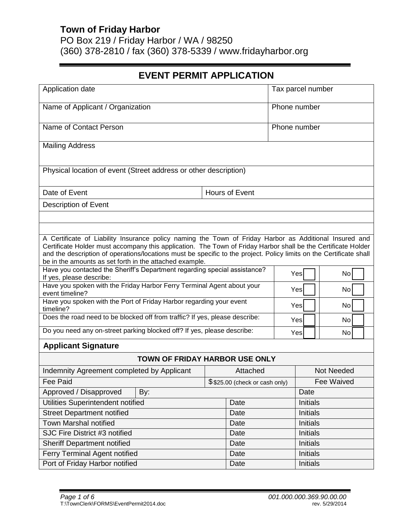PO Box 219 / Friday Harbor / WA / 98250 (360) 378-2810 / fax (360) 378-5339 / www.fridayharbor.org

# **EVENT PERMIT APPLICATION**

| Application date                                                                                                                                                                                                                                                                                                                                                                                          |                                | Tax parcel number |  |                   |    |
|-----------------------------------------------------------------------------------------------------------------------------------------------------------------------------------------------------------------------------------------------------------------------------------------------------------------------------------------------------------------------------------------------------------|--------------------------------|-------------------|--|-------------------|----|
| Name of Applicant / Organization                                                                                                                                                                                                                                                                                                                                                                          |                                | Phone number      |  |                   |    |
| Name of Contact Person                                                                                                                                                                                                                                                                                                                                                                                    |                                | Phone number      |  |                   |    |
| <b>Mailing Address</b>                                                                                                                                                                                                                                                                                                                                                                                    |                                |                   |  |                   |    |
| Physical location of event (Street address or other description)                                                                                                                                                                                                                                                                                                                                          |                                |                   |  |                   |    |
| Date of Event                                                                                                                                                                                                                                                                                                                                                                                             |                                | Hours of Event    |  |                   |    |
| Description of Event                                                                                                                                                                                                                                                                                                                                                                                      |                                |                   |  |                   |    |
|                                                                                                                                                                                                                                                                                                                                                                                                           |                                |                   |  |                   |    |
|                                                                                                                                                                                                                                                                                                                                                                                                           |                                |                   |  |                   |    |
| A Certificate of Liability Insurance policy naming the Town of Friday Harbor as Additional Insured and<br>Certificate Holder must accompany this application. The Town of Friday Harbor shall be the Certificate Holder<br>and the description of operations/locations must be specific to the project. Policy limits on the Certificate shall<br>be in the amounts as set forth in the attached example. |                                |                   |  |                   |    |
| Have you contacted the Sheriff's Department regarding special assistance?<br>If yes, please describe:                                                                                                                                                                                                                                                                                                     |                                |                   |  | Yes               | No |
| Have you spoken with the Friday Harbor Ferry Terminal Agent about your<br>event timeline?                                                                                                                                                                                                                                                                                                                 |                                |                   |  | Yes               | No |
| Have you spoken with the Port of Friday Harbor regarding your event<br>timeline?                                                                                                                                                                                                                                                                                                                          |                                |                   |  | Yes               | No |
| Does the road need to be blocked off from traffic? If yes, please describe:                                                                                                                                                                                                                                                                                                                               |                                |                   |  | Yes               | No |
| Do you need any on-street parking blocked off? If yes, please describe:                                                                                                                                                                                                                                                                                                                                   |                                | Yes               |  | No                |    |
| <b>Applicant Signature</b>                                                                                                                                                                                                                                                                                                                                                                                |                                |                   |  |                   |    |
| <b>TOWN OF FRIDAY HARBOR USE ONLY</b>                                                                                                                                                                                                                                                                                                                                                                     |                                |                   |  |                   |    |
| Indemnity Agreement completed by Applicant                                                                                                                                                                                                                                                                                                                                                                |                                | Attached          |  | <b>Not Needed</b> |    |
| <b>Fee Paid</b>                                                                                                                                                                                                                                                                                                                                                                                           | \$\$25.00 (check or cash only) |                   |  | Fee Waived        |    |
| Approved / Disapproved<br>By:                                                                                                                                                                                                                                                                                                                                                                             |                                |                   |  | Date              |    |
| Utilities Superintendent notified                                                                                                                                                                                                                                                                                                                                                                         |                                | Date              |  | <b>Initials</b>   |    |
| <b>Street Department notified</b>                                                                                                                                                                                                                                                                                                                                                                         |                                | Date              |  | <b>Initials</b>   |    |
| <b>Town Marshal notified</b>                                                                                                                                                                                                                                                                                                                                                                              |                                | Date              |  | <b>Initials</b>   |    |
| SJC Fire District #3 notified                                                                                                                                                                                                                                                                                                                                                                             |                                | Date              |  | <b>Initials</b>   |    |
| <b>Sheriff Department notified</b>                                                                                                                                                                                                                                                                                                                                                                        |                                | Date              |  | Initials          |    |
| Ferry Terminal Agent notified                                                                                                                                                                                                                                                                                                                                                                             |                                | Date              |  | Initials          |    |
| Port of Friday Harbor notified                                                                                                                                                                                                                                                                                                                                                                            |                                | Date              |  | Initials          |    |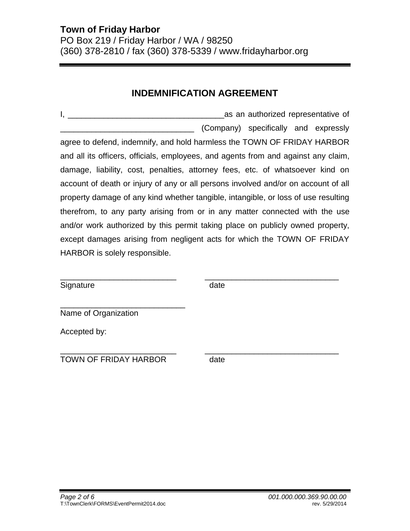# **INDEMNIFICATION AGREEMENT**

I, **I**, **EXECUTE:** The state of the state of an authorized representative of \_\_\_\_\_\_\_\_\_\_\_\_\_\_\_\_\_\_\_\_\_\_\_\_\_\_\_\_\_\_ (Company) specifically and expressly agree to defend, indemnify, and hold harmless the TOWN OF FRIDAY HARBOR and all its officers, officials, employees, and agents from and against any claim, damage, liability, cost, penalties, attorney fees, etc. of whatsoever kind on account of death or injury of any or all persons involved and/or on account of all property damage of any kind whether tangible, intangible, or loss of use resulting therefrom, to any party arising from or in any matter connected with the use and/or work authorized by this permit taking place on publicly owned property, except damages arising from negligent acts for which the TOWN OF FRIDAY HARBOR is solely responsible.

Signature date date

\_\_\_\_\_\_\_\_\_\_\_\_\_\_\_\_\_\_\_\_\_\_\_\_\_\_ \_\_\_\_\_\_\_\_\_\_\_\_\_\_\_\_\_\_\_\_\_\_\_\_\_\_\_\_\_\_

Name of Organization

Accepted by:

\_\_\_\_\_\_\_\_\_\_\_\_\_\_\_\_\_\_\_\_\_\_\_\_\_\_ \_\_\_\_\_\_\_\_\_\_\_\_\_\_\_\_\_\_\_\_\_\_\_\_\_\_\_\_\_\_ TOWN OF FRIDAY HARBOR date

\_\_\_\_\_\_\_\_\_\_\_\_\_\_\_\_\_\_\_\_\_\_\_\_\_\_\_\_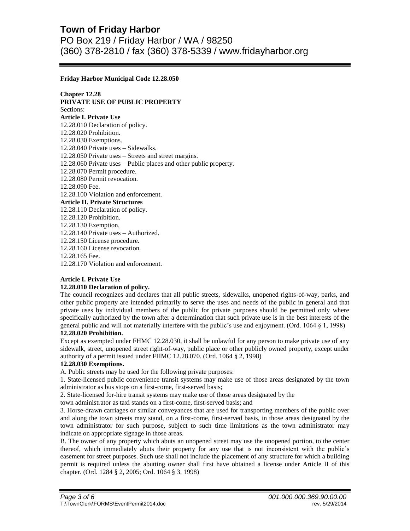PO Box 219 / Friday Harbor / WA / 98250 (360) 378-2810 / fax (360) 378-5339 / www.fridayharbor.org

### **Friday Harbor Municipal Code 12.28.050**

**Chapter 12.28 PRIVATE USE OF PUBLIC PROPERTY** Sections: **Article I. Private Use** 12.28.010 Declaration of policy. 12.28.020 Prohibition. 12.28.030 Exemptions. 12.28.040 Private uses – Sidewalks. 12.28.050 Private uses – Streets and street margins. 12.28.060 Private uses – Public places and other public property. 12.28.070 Permit procedure. 12.28.080 Permit revocation. 12.28.090 Fee. 12.28.100 Violation and enforcement. **Article II. Private Structures** 12.28.110 Declaration of policy. 12.28.120 Prohibition. 12.28.130 Exemption. 12.28.140 Private uses – Authorized. 12.28.150 License procedure. 12.28.160 License revocation. 12.28.165 Fee. 12.28.170 Violation and enforcement.

# **Article I. Private Use**

#### **12.28.010 Declaration of policy.**

The council recognizes and declares that all public streets, sidewalks, unopened rights-of-way, parks, and other public property are intended primarily to serve the uses and needs of the public in general and that private uses by individual members of the public for private purposes should be permitted only where specifically authorized by the town after a determination that such private use is in the best interests of the general public and will not materially interfere with the public's use and enjoyment. (Ord. 1064 § 1, 1998) **12.28.020 Prohibition.**

Except as exempted under FHMC 12.28.030, it shall be unlawful for any person to make private use of any sidewalk, street, unopened street right-of-way, public place or other publicly owned property, except under authority of a permit issued under FHMC 12.28.070. (Ord. 1064 § 2, 1998)

#### **12.28.030 Exemptions.**

A. Public streets may be used for the following private purposes:

1. State-licensed public convenience transit systems may make use of those areas designated by the town administrator as bus stops on a first-come, first-served basis;

2. State-licensed for-hire transit systems may make use of those areas designated by the

town administrator as taxi stands on a first-come, first-served basis; and

3. Horse-drawn carriages or similar conveyances that are used for transporting members of the public over and along the town streets may stand, on a first-come, first-served basis, in those areas designated by the town administrator for such purpose, subject to such time limitations as the town administrator may indicate on appropriate signage in those areas.

B. The owner of any property which abuts an unopened street may use the unopened portion, to the center thereof, which immediately abuts their property for any use that is not inconsistent with the public's easement for street purposes. Such use shall not include the placement of any structure for which a building permit is required unless the abutting owner shall first have obtained a license under Article II of this chapter. (Ord. 1284 § 2, 2005; Ord. 1064 § 3, 1998)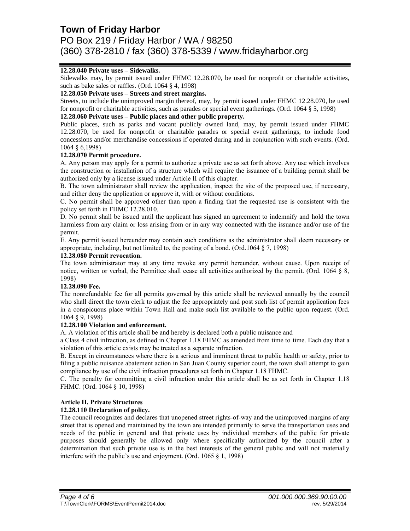PO Box 219 / Friday Harbor / WA / 98250 (360) 378-2810 / fax (360) 378-5339 / www.fridayharbor.org

# **12.28.040 Private uses – Sidewalks.**

Sidewalks may, by permit issued under FHMC 12.28.070, be used for nonprofit or charitable activities, such as bake sales or raffles. (Ord. 1064 § 4, 1998)

### **12.28.050 Private uses – Streets and street margins.**

Streets, to include the unimproved margin thereof, may, by permit issued under FHMC 12.28.070, be used for nonprofit or charitable activities, such as parades or special event gatherings. (Ord. 1064 § 5, 1998)

### **12.28.060 Private uses – Public places and other public property.**

Public places, such as parks and vacant publicly owned land, may, by permit issued under FHMC 12.28.070, be used for nonprofit or charitable parades or special event gatherings, to include food concessions and/or merchandise concessions if operated during and in conjunction with such events. (Ord. 1064 § 6,1998)

### **12.28.070 Permit procedure.**

A. Any person may apply for a permit to authorize a private use as set forth above. Any use which involves the construction or installation of a structure which will require the issuance of a building permit shall be authorized only by a license issued under Article II of this chapter.

B. The town administrator shall review the application, inspect the site of the proposed use, if necessary, and either deny the application or approve it, with or without conditions.

C. No permit shall be approved other than upon a finding that the requested use is consistent with the policy set forth in FHMC 12.28.010.

D. No permit shall be issued until the applicant has signed an agreement to indemnify and hold the town harmless from any claim or loss arising from or in any way connected with the issuance and/or use of the permit.

E. Any permit issued hereunder may contain such conditions as the administrator shall deem necessary or appropriate, including, but not limited to, the posting of a bond. (Ord.1064 § 7, 1998)

### **12.28.080 Permit revocation.**

The town administrator may at any time revoke any permit hereunder, without cause. Upon receipt of notice, written or verbal, the Permittee shall cease all activities authorized by the permit. (Ord. 1064 § 8, 1998)

#### **12.28.090 Fee.**

The nonrefundable fee for all permits governed by this article shall be reviewed annually by the council who shall direct the town clerk to adjust the fee appropriately and post such list of permit application fees in a conspicuous place within Town Hall and make such list available to the public upon request. (Ord. 1064 § 9, 1998)

# **12.28.100 Violation and enforcement.**

A. A violation of this article shall be and hereby is declared both a public nuisance and

a Class 4 civil infraction, as defined in Chapter 1.18 FHMC as amended from time to time. Each day that a violation of this article exists may be treated as a separate infraction.

B. Except in circumstances where there is a serious and imminent threat to public health or safety, prior to filing a public nuisance abatement action in San Juan County superior court, the town shall attempt to gain compliance by use of the civil infraction procedures set forth in Chapter 1.18 FHMC.

C. The penalty for committing a civil infraction under this article shall be as set forth in Chapter 1.18 FHMC. (Ord. 1064 § 10, 1998)

# **Article II. Private Structures**

# **12.28.110 Declaration of policy.**

The council recognizes and declares that unopened street rights-of-way and the unimproved margins of any street that is opened and maintained by the town are intended primarily to serve the transportation uses and needs of the public in general and that private uses by individual members of the public for private purposes should generally be allowed only where specifically authorized by the council after a determination that such private use is in the best interests of the general public and will not materially interfere with the public's use and enjoyment. (Ord. 1065 § 1, 1998)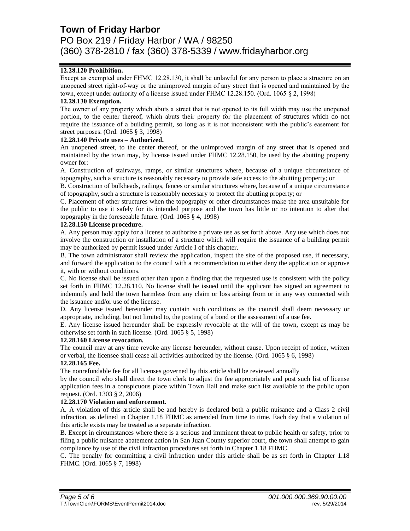PO Box 219 / Friday Harbor / WA / 98250 (360) 378-2810 / fax (360) 378-5339 / www.fridayharbor.org

# **12.28.120 Prohibition.**

Except as exempted under FHMC 12.28.130, it shall be unlawful for any person to place a structure on an unopened street right-of-way or the unimproved margin of any street that is opened and maintained by the town, except under authority of a license issued under FHMC 12.28.150. (Ord. 1065 § 2, 1998)

### **12.28.130 Exemption.**

The owner of any property which abuts a street that is not opened to its full width may use the unopened portion, to the center thereof, which abuts their property for the placement of structures which do not require the issuance of a building permit, so long as it is not inconsistent with the public's easement for street purposes. (Ord. 1065 § 3, 1998)

#### **12.28.140 Private uses – Authorized.**

An unopened street, to the center thereof, or the unimproved margin of any street that is opened and maintained by the town may, by license issued under FHMC 12.28.150, be used by the abutting property owner for:

A. Construction of stairways, ramps, or similar structures where, because of a unique circumstance of topography, such a structure is reasonably necessary to provide safe access to the abutting property; or

B. Construction of bulkheads, railings, fences or similar structures where, because of a unique circumstance of topography, such a structure is reasonably necessary to protect the abutting property; or

C. Placement of other structures when the topography or other circumstances make the area unsuitable for the public to use it safely for its intended purpose and the town has little or no intention to alter that topography in the foreseeable future. (Ord. 1065 § 4, 1998)

#### **12.28.150 License procedure.**

A. Any person may apply for a license to authorize a private use as set forth above. Any use which does not involve the construction or installation of a structure which will require the issuance of a building permit may be authorized by permit issued under Article I of this chapter.

B. The town administrator shall review the application, inspect the site of the proposed use, if necessary, and forward the application to the council with a recommendation to either deny the application or approve it, with or without conditions.

C. No license shall be issued other than upon a finding that the requested use is consistent with the policy set forth in FHMC 12.28.110. No license shall be issued until the applicant has signed an agreement to indemnify and hold the town harmless from any claim or loss arising from or in any way connected with the issuance and/or use of the license.

D. Any license issued hereunder may contain such conditions as the council shall deem necessary or appropriate, including, but not limited to, the posting of a bond or the assessment of a use fee.

E. Any license issued hereunder shall be expressly revocable at the will of the town, except as may be otherwise set forth in such license. (Ord. 1065 § 5, 1998)

#### **12.28.160 License revocation.**

The council may at any time revoke any license hereunder, without cause. Upon receipt of notice, written or verbal, the licensee shall cease all activities authorized by the license. (Ord. 1065 § 6, 1998)

# **12.28.165 Fee.**

The nonrefundable fee for all licenses governed by this article shall be reviewed annually

by the council who shall direct the town clerk to adjust the fee appropriately and post such list of license application fees in a conspicuous place within Town Hall and make such list available to the public upon request. (Ord. 1303 § 2, 2006)

#### **12.28.170 Violation and enforcement.**

A. A violation of this article shall be and hereby is declared both a public nuisance and a Class 2 civil infraction, as defined in Chapter 1.18 FHMC as amended from time to time. Each day that a violation of this article exists may be treated as a separate infraction.

B. Except in circumstances where there is a serious and imminent threat to public health or safety, prior to filing a public nuisance abatement action in San Juan County superior court, the town shall attempt to gain compliance by use of the civil infraction procedures set forth in Chapter 1.18 FHMC.

C. The penalty for committing a civil infraction under this article shall be as set forth in Chapter 1.18 FHMC. (Ord. 1065 § 7, 1998)